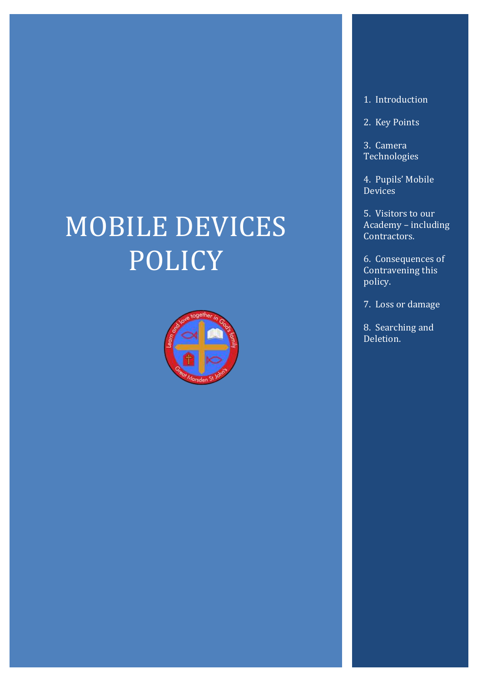# MOBILE DEVICES POLICY



#### 1. Introduction

2. Key Points

3. Camera Technologies

4. Pupils' Mobile **Devices** 

5. Visitors to our Academy – including Contractors.

6. Consequences of Contravening this policy.

7. Loss or damage

8. Searching and Deletion.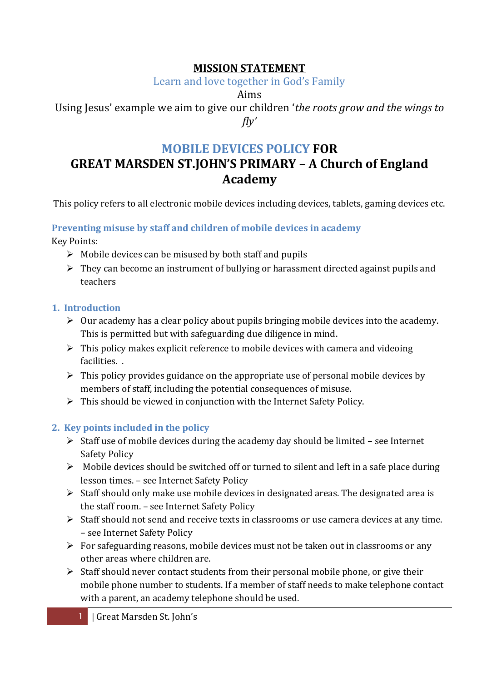## **MISSION STATEMENT**

Learn and love together in God's Family

Aims

Using Jesus' example we aim to give our children '*the roots grow and the wings to fly'*

# **MOBILE DEVICES POLICY FOR GREAT MARSDEN ST.JOHN'S PRIMARY – A Church of England Academy**

This policy refers to all electronic mobile devices including devices, tablets, gaming devices etc.

### **Preventing misuse by staff and children of mobile devices in academy**

Key Points:

- $\triangleright$  Mobile devices can be misused by both staff and pupils
- $\triangleright$  They can become an instrument of bullying or harassment directed against pupils and teachers

# **1. Introduction**

- $\triangleright$  Our academy has a clear policy about pupils bringing mobile devices into the academy. This is permitted but with safeguarding due diligence in mind.
- $\triangleright$  This policy makes explicit reference to mobile devices with camera and videoing facilities. .
- $\triangleright$  This policy provides guidance on the appropriate use of personal mobile devices by members of staff, including the potential consequences of misuse.
- $\triangleright$  This should be viewed in conjunction with the Internet Safety Policy.

# **2. Key points included in the policy**

- $\triangleright$  Staff use of mobile devices during the academy day should be limited see Internet Safety Policy
- $\triangleright$  Mobile devices should be switched off or turned to silent and left in a safe place during lesson times. – see Internet Safety Policy
- $\triangleright$  Staff should only make use mobile devices in designated areas. The designated area is the staff room. – see Internet Safety Policy
- $\triangleright$  Staff should not send and receive texts in classrooms or use camera devices at any time. – see Internet Safety Policy
- $\triangleright$  For safeguarding reasons, mobile devices must not be taken out in classrooms or any other areas where children are.
- $\triangleright$  Staff should never contact students from their personal mobile phone, or give their mobile phone number to students. If a member of staff needs to make telephone contact with a parent, an academy telephone should be used.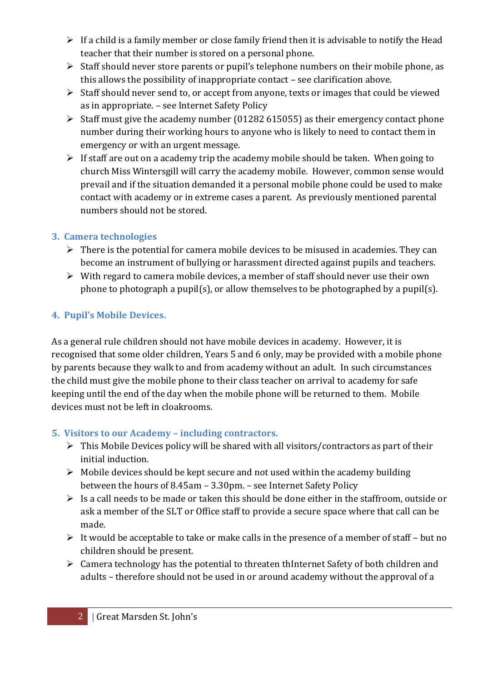- $\triangleright$  If a child is a family member or close family friend then it is advisable to notify the Head teacher that their number is stored on a personal phone.
- $\triangleright$  Staff should never store parents or pupil's telephone numbers on their mobile phone, as this allows the possibility of inappropriate contact – see clarification above.
- $\triangleright$  Staff should never send to, or accept from anyone, texts or images that could be viewed as in appropriate. – see Internet Safety Policy
- $\triangleright$  Staff must give the academy number (01282 615055) as their emergency contact phone number during their working hours to anyone who is likely to need to contact them in emergency or with an urgent message.
- $\triangleright$  If staff are out on a academy trip the academy mobile should be taken. When going to church Miss Wintersgill will carry the academy mobile. However, common sense would prevail and if the situation demanded it a personal mobile phone could be used to make contact with academy or in extreme cases a parent. As previously mentioned parental numbers should not be stored.

#### **3. Camera technologies**

- $\triangleright$  There is the potential for camera mobile devices to be misused in academies. They can become an instrument of bullying or harassment directed against pupils and teachers.
- $\triangleright$  With regard to camera mobile devices, a member of staff should never use their own phone to photograph a pupil(s), or allow themselves to be photographed by a pupil(s).

### **4. Pupil's Mobile Devices.**

As a general rule children should not have mobile devices in academy. However, it is recognised that some older children, Years 5 and 6 only, may be provided with a mobile phone by parents because they walk to and from academy without an adult. In such circumstances the child must give the mobile phone to their class teacher on arrival to academy for safe keeping until the end of the day when the mobile phone will be returned to them. Mobile devices must not be left in cloakrooms.

### **5. Visitors to our Academy – including contractors.**

- $\triangleright$  This Mobile Devices policy will be shared with all visitors/contractors as part of their initial induction.
- $\triangleright$  Mobile devices should be kept secure and not used within the academy building between the hours of 8.45am – 3.30pm. – see Internet Safety Policy
- $\triangleright$  Is a call needs to be made or taken this should be done either in the staffroom, outside or ask a member of the SLT or Office staff to provide a secure space where that call can be made.
- $\triangleright$  It would be acceptable to take or make calls in the presence of a member of staff but no children should be present.
- $\triangleright$  Camera technology has the potential to threaten thInternet Safety of both children and adults – therefore should not be used in or around academy without the approval of a